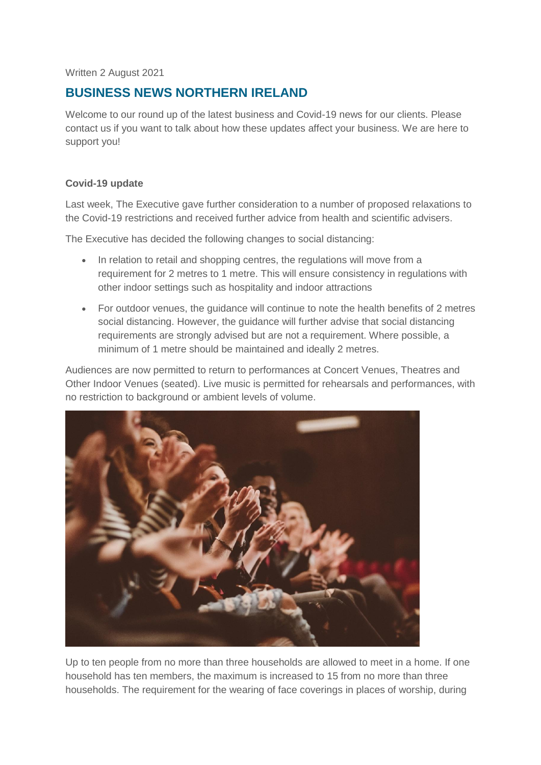Written 2 August 2021

# **BUSINESS NEWS NORTHERN IRELAND**

Welcome to our round up of the latest business and Covid-19 news for our clients. Please contact us if you want to talk about how these updates affect your business. We are here to support you!

# **Covid-19 update**

Last week, The Executive gave further consideration to a number of proposed relaxations to the Covid-19 restrictions and received further advice from health and scientific advisers.

The Executive has decided the following changes to social distancing:

- In relation to retail and shopping centres, the regulations will move from a requirement for 2 metres to 1 metre. This will ensure consistency in regulations with other indoor settings such as hospitality and indoor attractions
- For outdoor venues, the guidance will continue to note the health benefits of 2 metres social distancing. However, the guidance will further advise that social distancing requirements are strongly advised but are not a requirement. Where possible, a minimum of 1 metre should be maintained and ideally 2 metres.

Audiences are now permitted to return to performances at Concert Venues, Theatres and Other Indoor Venues (seated). Live music is permitted for rehearsals and performances, with no restriction to background or ambient levels of volume.



Up to ten people from no more than three households are allowed to meet in a home. If one household has ten members, the maximum is increased to 15 from no more than three households. The requirement for the wearing of face coverings in places of worship, during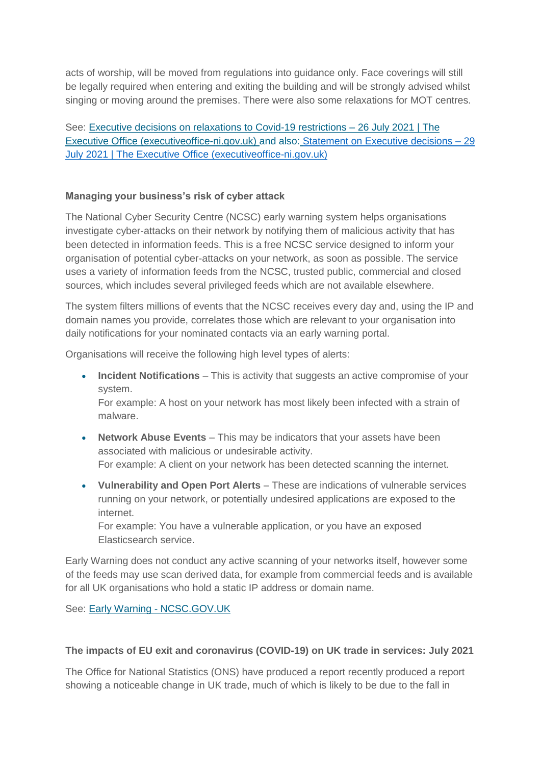acts of worship, will be moved from regulations into guidance only. Face coverings will still be legally required when entering and exiting the building and will be strongly advised whilst singing or moving around the premises. There were also some relaxations for MOT centres.

See: [Executive decisions on relaxations to Covid-19 restrictions –](http://www.executiveoffice-ni.gov.uk/news/executive-decisions-relaxations-covid-19-restrictions-26-july-2021) 26 July 2021 | The [Executive Office \(executiveoffice-ni.gov.uk\)](http://www.executiveoffice-ni.gov.uk/news/executive-decisions-relaxations-covid-19-restrictions-26-july-2021) and also: [Statement on Executive decisions –](http://www.executiveoffice-ni.gov.uk/news/statement-executive-decisions-29-july-2021) 29 [July 2021 | The Executive Office \(executiveoffice-ni.gov.uk\)](http://www.executiveoffice-ni.gov.uk/news/statement-executive-decisions-29-july-2021)

## **Managing your business's risk of cyber attack**

The National Cyber Security Centre (NCSC) early warning system helps organisations investigate cyber-attacks on their network by notifying them of malicious activity that has been detected in information feeds. This is a free NCSC service designed to inform your organisation of potential cyber-attacks on your network, as soon as possible. The service uses a variety of information feeds from the NCSC, trusted public, commercial and closed sources, which includes several privileged feeds which are not available elsewhere.

The system filters millions of events that the NCSC receives every day and, using the IP and domain names you provide, correlates those which are relevant to your organisation into daily notifications for your nominated contacts via an early warning portal.

Organisations will receive the following high level types of alerts:

 **Incident Notifications** – This is activity that suggests an active compromise of your system.

For example: A host on your network has most likely been infected with a strain of malware.

- **Network Abuse Events** This may be indicators that your assets have been associated with malicious or undesirable activity. For example: A client on your network has been detected scanning the internet.
- **Vulnerability and Open Port Alerts** These are indications of vulnerable services running on your network, or potentially undesired applications are exposed to the internet.

For example: You have a vulnerable application, or you have an exposed Elasticsearch service.

Early Warning does not conduct any active scanning of your networks itself, however some of the feeds may use scan derived data, for example from commercial feeds and is available for all UK organisations who hold a static IP address or domain name.

See: [Early Warning -](https://www.ncsc.gov.uk/information/early-warning-service) NCSC.GOV.UK

#### **The impacts of EU exit and coronavirus (COVID-19) on UK trade in services: July 2021**

The Office for National Statistics (ONS) have produced a report recently produced a report showing a noticeable change in UK trade, much of which is likely to be due to the fall in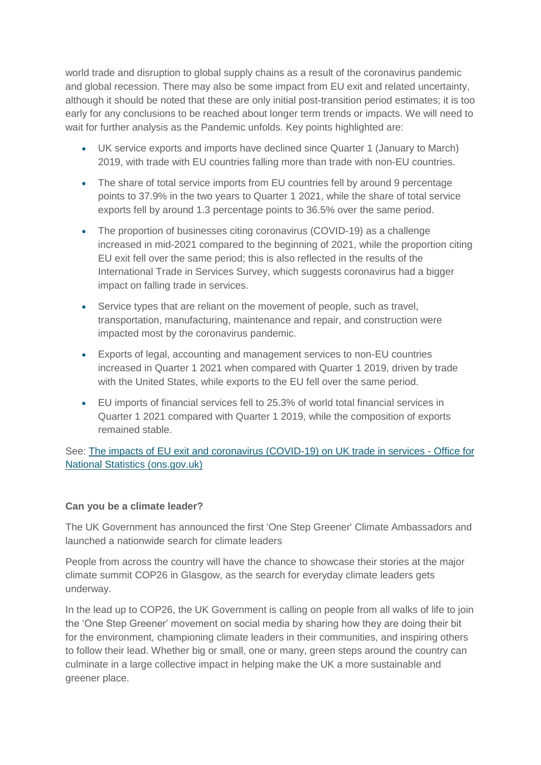world trade and disruption to global supply chains as a result of the coronavirus pandemic and global recession. There may also be some impact from EU exit and related uncertainty, although it should be noted that these are only initial post-transition period estimates; it is too early for any conclusions to be reached about longer term trends or impacts. We will need to wait for further analysis as the Pandemic unfolds. Key points highlighted are:

- UK service exports and imports have declined since Quarter 1 (January to March) 2019, with trade with EU countries falling more than trade with non-EU countries.
- The share of total service imports from EU countries fell by around 9 percentage points to 37.9% in the two years to Quarter 1 2021, while the share of total service exports fell by around 1.3 percentage points to 36.5% over the same period.
- The proportion of businesses citing coronavirus (COVID-19) as a challenge increased in mid-2021 compared to the beginning of 2021, while the proportion citing EU exit fell over the same period; this is also reflected in the results of the International Trade in Services Survey, which suggests coronavirus had a bigger impact on falling trade in services.
- Service types that are reliant on the movement of people, such as travel, transportation, manufacturing, maintenance and repair, and construction were impacted most by the coronavirus pandemic.
- Exports of legal, accounting and management services to non-EU countries increased in Quarter 1 2021 when compared with Quarter 1 2019, driven by trade with the United States, while exports to the EU fell over the same period.
- EU imports of financial services fell to 25.3% of world total financial services in Quarter 1 2021 compared with Quarter 1 2019, while the composition of exports remained stable.

See: [The impacts of EU exit and coronavirus \(COVID-19\) on UK trade in services -](https://www.ons.gov.uk/economy/nationalaccounts/balanceofpayments/articles/theimpactsofeuexitandcoronaviruscovid19onuktradeinservices/july2021) Office for [National Statistics \(ons.gov.uk\)](https://www.ons.gov.uk/economy/nationalaccounts/balanceofpayments/articles/theimpactsofeuexitandcoronaviruscovid19onuktradeinservices/july2021)

# **Can you be a climate leader?**

The UK Government has announced the first 'One Step Greener' Climate Ambassadors and launched a nationwide search for climate leaders

People from across the country will have the chance to showcase their stories at the major climate summit COP26 in Glasgow, as the search for everyday climate leaders gets underway.

In the lead up to COP26, the UK Government is calling on people from all walks of life to join the 'One Step Greener' movement on social media by sharing how they are doing their bit for the environment, championing climate leaders in their communities, and inspiring others to follow their lead. Whether big or small, one or many, green steps around the country can culminate in a large collective impact in helping make the UK a more sustainable and greener place.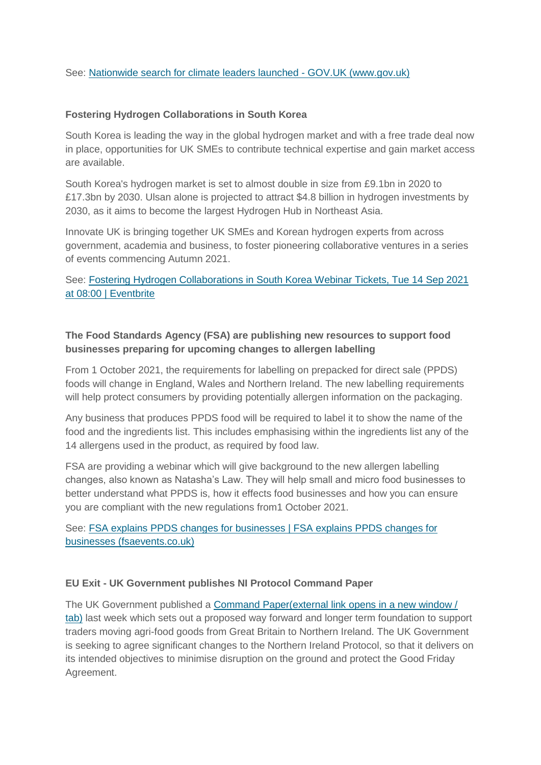See: [Nationwide search for climate leaders launched -](https://www.gov.uk/government/news/nationwide-search-for-climate-leaders-launched) GOV.UK (www.gov.uk)

# **Fostering Hydrogen Collaborations in South Korea**

South Korea is leading the way in the global hydrogen market and with a free trade deal now in place, opportunities for UK SMEs to contribute technical expertise and gain market access are available.

South Korea's hydrogen market is set to almost double in size from £9.1bn in 2020 to £17.3bn by 2030. Ulsan alone is projected to attract \$4.8 billion in hydrogen investments by 2030, as it aims to become the largest Hydrogen Hub in Northeast Asia.

Innovate UK is bringing together UK SMEs and Korean hydrogen experts from across government, academia and business, to foster pioneering collaborative ventures in a series of events commencing Autumn 2021.

See: [Fostering Hydrogen Collaborations in South Korea Webinar Tickets, Tue 14 Sep 2021](https://www.eventbrite.co.uk/e/fostering-hydrogen-collaborations-in-south-korea-webinar-tickets-163993319433)  [at 08:00 | Eventbrite](https://www.eventbrite.co.uk/e/fostering-hydrogen-collaborations-in-south-korea-webinar-tickets-163993319433)

# **The Food Standards Agency (FSA) are publishing new resources to support food businesses preparing for upcoming changes to allergen labelling**

From 1 October 2021, the requirements for labelling on prepacked for direct sale (PPDS) foods will change in England, Wales and Northern Ireland. The new labelling requirements will help protect consumers by providing potentially allergen information on the packaging.

Any business that produces PPDS food will be required to label it to show the name of the food and the ingredients list. This includes emphasising within the ingredients list any of the 14 allergens used in the product, as required by food law.

FSA are providing a webinar which will give background to the new allergen labelling changes, also known as Natasha's Law. They will help small and micro food businesses to better understand what PPDS is, how it effects food businesses and how you can ensure you are compliant with the new regulations from1 October 2021.

See: [FSA explains PPDS changes for businesses | FSA explains PPDS changes for](https://ppdsbusiness.fsaevents.co.uk/home)  [businesses \(fsaevents.co.uk\)](https://ppdsbusiness.fsaevents.co.uk/home)

#### **EU Exit - UK Government publishes NI Protocol Command Paper**

The UK Government published a [Command Paper\(external link opens in a new window /](https://assets.publishing.service.gov.uk/government/uploads/system/uploads/attachment_data/file/1004581/CCS207_CCS0721914902-001_Northern_Ireland_Protocol_PRINT__1___2_.pdf)  [tab\)](https://assets.publishing.service.gov.uk/government/uploads/system/uploads/attachment_data/file/1004581/CCS207_CCS0721914902-001_Northern_Ireland_Protocol_PRINT__1___2_.pdf) last week which sets out a proposed way forward and longer term foundation to support traders moving agri-food goods from Great Britain to Northern Ireland. The UK Government is seeking to agree significant changes to the Northern Ireland Protocol, so that it delivers on its intended objectives to minimise disruption on the ground and protect the Good Friday Agreement.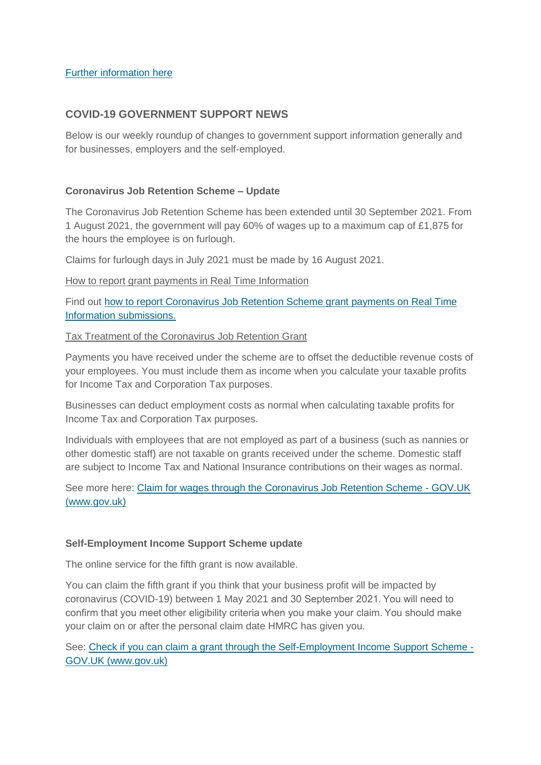## [Further information here](https://www.daera-ni.gov.uk/publications/uk-government-publishes-ni-protocol-command-paper-21-july-2021)

# **COVID-19 GOVERNMENT SUPPORT NEWS**

Below is our weekly roundup of changes to government support information generally and for businesses, employers and the self-employed.

## **Coronavirus Job Retention Scheme – Update**

The Coronavirus Job Retention Scheme has been extended until 30 September 2021. From 1 August 2021, the government will pay 60% of wages up to a maximum cap of £1,875 for the hours the employee is on furlough.

Claims for furlough days in July 2021 must be made by 16 August 2021.

How to report grant payments in Real Time Information

Find out [how to report Coronavirus Job Retention Scheme grant payments on Real Time](https://www.gov.uk/guidance/reporting-payments-in-paye-real-time-information-from-the-coronavirus-job-retention-scheme)  [Information submissions.](https://www.gov.uk/guidance/reporting-payments-in-paye-real-time-information-from-the-coronavirus-job-retention-scheme)

#### Tax Treatment of the Coronavirus Job Retention Grant

Payments you have received under the scheme are to offset the deductible revenue costs of your employees. You must include them as income when you calculate your taxable profits for Income Tax and Corporation Tax purposes.

Businesses can deduct employment costs as normal when calculating taxable profits for Income Tax and Corporation Tax purposes.

Individuals with employees that are not employed as part of a business (such as nannies or other domestic staff) are not taxable on grants received under the scheme. Domestic staff are subject to Income Tax and National Insurance contributions on their wages as normal.

See more here: [Claim for wages through the Coronavirus Job Retention Scheme -](https://www.gov.uk/guidance/claim-for-wages-through-the-coronavirus-job-retention-scheme) GOV.UK [\(www.gov.uk\)](https://www.gov.uk/guidance/claim-for-wages-through-the-coronavirus-job-retention-scheme)

#### **Self-Employment Income Support Scheme update**

The online service for the fifth grant is now available.

You can claim the fifth grant if you think that your business profit will be impacted by coronavirus (COVID-19) between 1 May 2021 and 30 September 2021. You will need to confirm that you meet other eligibility criteria when you make your claim. You should make your claim on or after the personal claim date HMRC has given you.

See: [Check if you can claim a grant through the Self-Employment Income Support Scheme -](https://www.gov.uk/guidance/claim-a-grant-through-the-coronavirus-covid-19-self-employment-income-support-scheme?utm_medium=email&utm_campaign=govuk-notifications&utm_source=4dbb794d-2e8f-46d5-a307-d57c250b0251&utm_content=daily) [GOV.UK \(www.gov.uk\)](https://www.gov.uk/guidance/claim-a-grant-through-the-coronavirus-covid-19-self-employment-income-support-scheme?utm_medium=email&utm_campaign=govuk-notifications&utm_source=4dbb794d-2e8f-46d5-a307-d57c250b0251&utm_content=daily)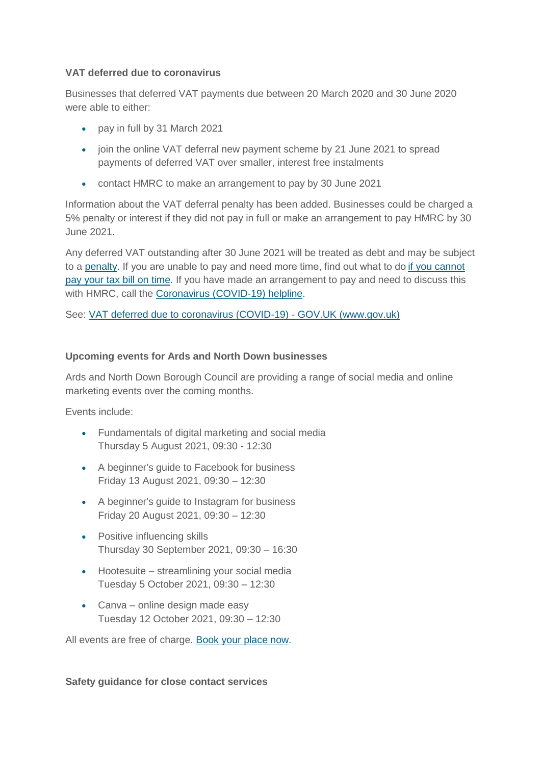## **VAT deferred due to coronavirus**

Businesses that deferred VAT payments due between 20 March 2020 and 30 June 2020 were able to either:

- pay in full by 31 March 2021
- join the online VAT deferral new payment scheme by 21 June 2021 to spread payments of deferred VAT over smaller, interest free instalments
- contact HMRC to make an arrangement to pay by 30 June 2021

Information about the VAT deferral penalty has been added. Businesses could be charged a 5% penalty or interest if they did not pay in full or make an arrangement to pay HMRC by 30 June 2021.

Any deferred VAT outstanding after 30 June 2021 will be treated as debt and may be subject to a [penalty.](https://www.gov.uk/guidance/deferral-of-vat-payments-due-to-coronavirus-covid-19?utm_medium=email&utm_campaign=govuk-notifications&utm_source=dda5b069-7f98-43be-b0ad-39f9c3cf3422&utm_content=daily#penalty) If you are unable to pay and need more time, find out what to do[if you cannot](https://www.gov.uk/difficulties-paying-hmrc)  [pay your tax bill on time.](https://www.gov.uk/difficulties-paying-hmrc) If you have made an arrangement to pay and need to discuss this with HMRC, call the [Coronavirus \(COVID-19\) helpline.](https://www.gov.uk/government/organisations/hm-revenue-customs/contact/coronavirus-covid-19-helpline)

See: [VAT deferred due to coronavirus \(COVID-19\) -](https://www.gov.uk/guidance/deferral-of-vat-payments-due-to-coronavirus-covid-19?utm_medium=email&utm_campaign=govuk-notifications&utm_source=dda5b069-7f98-43be-b0ad-39f9c3cf3422&utm_content=daily) GOV.UK (www.gov.uk)

## **Upcoming events for Ards and North Down businesses**

Ards and North Down Borough Council are providing a range of social media and online marketing events over the coming months.

Events include:

- Fundamentals of digital marketing and social media Thursday 5 August 2021, 09:30 - 12:30
- A beginner's guide to Facebook for business Friday 13 August 2021, 09:30 – 12:30
- A beginner's guide to Instagram for business Friday 20 August 2021, 09:30 – 12:30
- Positive influencing skills Thursday 30 September 2021, 09:30 – 16:30
- Hootesuite streamlining your social media Tuesday 5 October 2021, 09:30 – 12:30
- Canva online design made easy Tuesday 12 October 2021, 09:30 – 12:30

All events are free of charge. [Book your place now.](https://www.andbusiness.co.uk/events)

#### **Safety guidance for close contact services**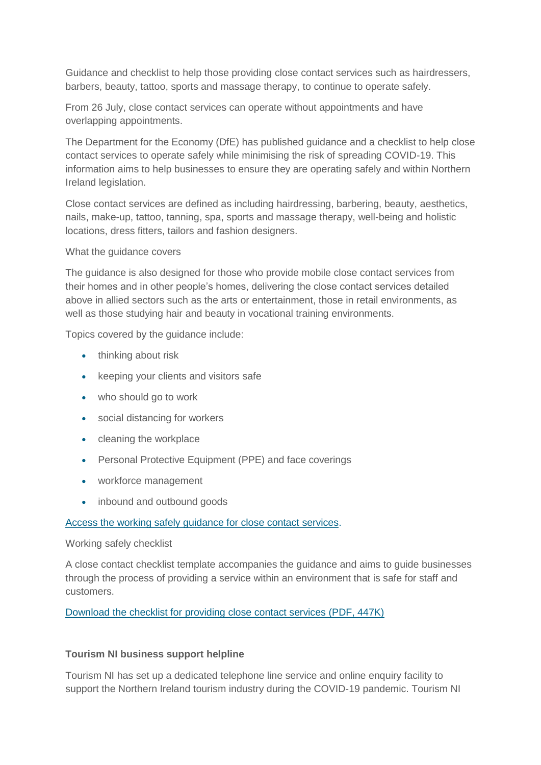Guidance and checklist to help those providing close contact services such as hairdressers, barbers, beauty, tattoo, sports and massage therapy, to continue to operate safely.

From 26 July, close contact services can operate without appointments and have overlapping appointments.

The Department for the Economy (DfE) has published guidance and a checklist to help close contact services to operate safely while minimising the risk of spreading COVID-19. This information aims to help businesses to ensure they are operating safely and within Northern Ireland legislation.

Close contact services are defined as including hairdressing, barbering, beauty, aesthetics, nails, make-up, tattoo, tanning, spa, sports and massage therapy, well-being and holistic locations, dress fitters, tailors and fashion designers.

What the guidance covers

The guidance is also designed for those who provide mobile close contact services from their homes and in other people's homes, delivering the close contact services detailed above in allied sectors such as the arts or entertainment, those in retail environments, as well as those studying hair and beauty in vocational training environments.

Topics covered by the guidance include:

- thinking about risk
- keeping your clients and visitors safe
- who should go to work
- social distancing for workers
- cleaning the workplace
- Personal Protective Equipment (PPE) and face coverings
- workforce management
- inbound and outbound goods

#### [Access the working safely guidance for close contact services.](https://www.economy-ni.gov.uk/publications/keeping-workers-and-clients-safe-during-covid-19-close-contact-services)

#### Working safely checklist

A close contact checklist template accompanies the guidance and aims to guide businesses through the process of providing a service within an environment that is safe for staff and customers.

[Download the checklist for providing close contact services \(PDF, 447K\)](https://www.nibusinessinfo.co.uk/downloads/checklist-template-providing-close-contact-services.pdf)

#### **Tourism NI business support helpline**

Tourism NI has set up a dedicated telephone line service and online enquiry facility to support the Northern Ireland tourism industry during the COVID-19 pandemic. Tourism NI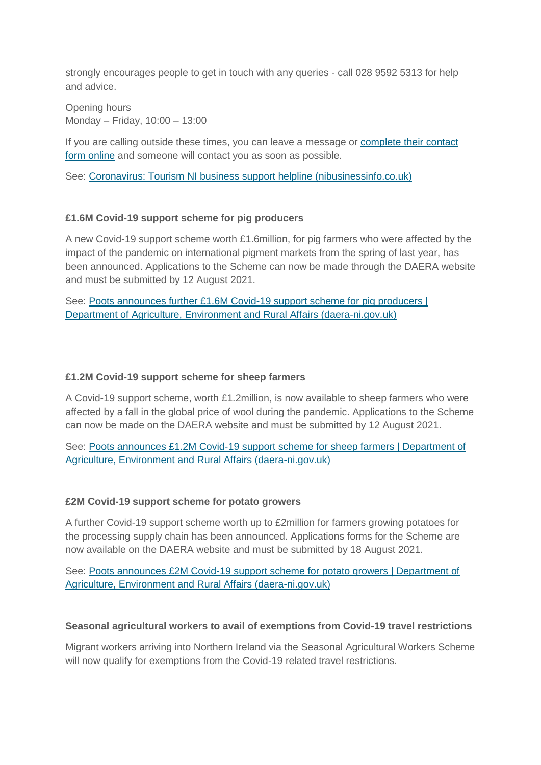strongly encourages people to get in touch with any queries - call 028 9592 5313 for help and advice.

Opening hours Monday – Friday, 10:00 – 13:00

If you are calling outside these times, you can leave a message or [complete their contact](https://www.tourismni.com/contact-us/covid-19-business-support-helpline/)  [form online](https://www.tourismni.com/contact-us/covid-19-business-support-helpline/) and someone will contact you as soon as possible.

See: [Coronavirus: Tourism NI business support helpline \(nibusinessinfo.co.uk\)](https://www.nibusinessinfo.co.uk/content/coronavirus-tourism-ni-business-support-helpline)

# **£1.6M Covid-19 support scheme for pig producers**

A new Covid-19 support scheme worth £1.6million, for pig farmers who were affected by the impact of the pandemic on international pigment markets from the spring of last year, has been announced. Applications to the Scheme can now be made through the DAERA website and must be submitted by 12 August 2021.

See: [Poots announces further £1.6M Covid-19 support scheme for pig producers |](http://www.daera-ni.gov.uk/news/poots-announces-further-ps16m-covid-19-support-scheme-pig-producers)  [Department of Agriculture, Environment and Rural Affairs \(daera-ni.gov.uk\)](http://www.daera-ni.gov.uk/news/poots-announces-further-ps16m-covid-19-support-scheme-pig-producers)

## **£1.2M Covid-19 support scheme for sheep farmers**

A Covid-19 support scheme, worth £1.2million, is now available to sheep farmers who were affected by a fall in the global price of wool during the pandemic. Applications to the Scheme can now be made on the DAERA website and must be submitted by 12 August 2021.

See: [Poots announces £1.2M Covid-19 support scheme for sheep farmers | Department of](http://www.daera-ni.gov.uk/news/poots-announces-ps12m-covid-19-support-scheme-sheep-farmers)  [Agriculture, Environment and Rural Affairs \(daera-ni.gov.uk\)](http://www.daera-ni.gov.uk/news/poots-announces-ps12m-covid-19-support-scheme-sheep-farmers)

#### **£2M Covid-19 support scheme for potato growers**

A further Covid-19 support scheme worth up to £2million for farmers growing potatoes for the processing supply chain has been announced. Applications forms for the Scheme are now available on the DAERA website and must be submitted by 18 August 2021.

See: [Poots announces £2M Covid-19 support scheme for potato growers | Department of](http://www.daera-ni.gov.uk/news/poots-announces-ps2m-covid-19-support-scheme-potato-growers)  [Agriculture, Environment and Rural Affairs \(daera-ni.gov.uk\)](http://www.daera-ni.gov.uk/news/poots-announces-ps2m-covid-19-support-scheme-potato-growers)

#### **Seasonal agricultural workers to avail of exemptions from Covid-19 travel restrictions**

Migrant workers arriving into Northern Ireland via the Seasonal Agricultural Workers Scheme will now qualify for exemptions from the Covid-19 related travel restrictions.